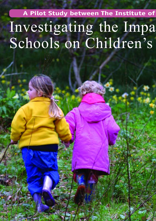## **A Pilot Study between The Institute of**  Investigating the Impa Schools on Children's